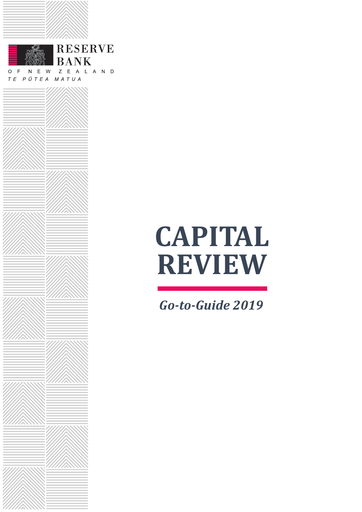

# **CAPITAL REVIEW**

*Go-to-Guide 2019*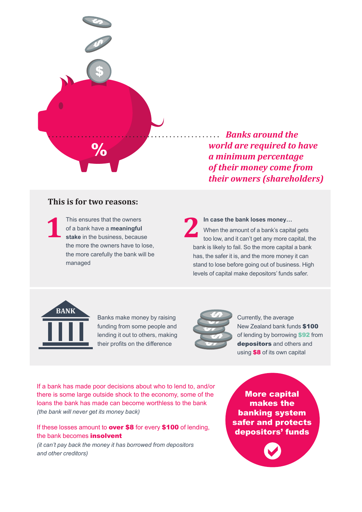

*Banks around the world are required to have a minimum percentage of their money come from their owners (shareholders)*

#### **This is for two reasons:**

This ensures that the owners of a bank have a **meaningful**  This ensures that the owners<br>
of a bank have a **meaningful**<br> **12 2**<br> **12 2**<br> **12 2**<br> **12 2**<br> **12 2** the more the owners have to lose, the more carefully the bank will be managed

**In case the bank loses money…** When the amount of a bank's capital gets too low, and it can't get any more capital, the bank is likely to fail. So the more capital a bank has, the safer it is, and the more money it can stand to lose before going out of business. High levels of capital make depositors' funds safer.



Banks make money by raising funding from some people and lending it out to others, making their profits on the difference



Currently, the average New Zealand bank funds \$100 of lending by borrowing **\$92** from depositors and others and using \$8 of its own capital

If a bank has made poor decisions about who to lend to, and/or there is some large outside shock to the economy, some of the loans the bank has made can become worthless to the bank *(the bank will never get its money back)*

If these losses amount to **over \$8** for every \$100 of lending, the bank becomes **insolvent** 

*(it can't pay back the money it has borrowed from depositors and other creditors)* 

More capital makes the banking system safer and protects depositors' funds

 $\bullet$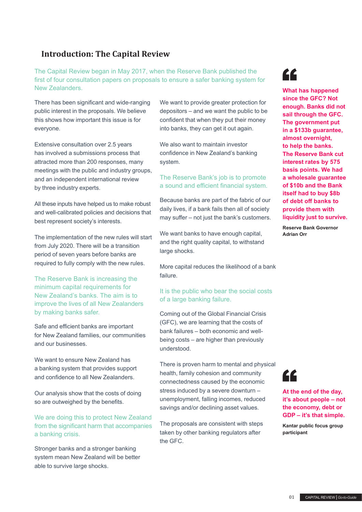## **Introduction: The Capital Review**

The Capital Review began in May 2017, when the Reserve Bank published the first of four consultation papers on proposals to ensure a safer banking system for New Zealanders.

There has been significant and wide-ranging public interest in the proposals. We believe this shows how important this issue is for everyone.

Extensive consultation over 2.5 years has involved a submissions process that attracted more than 200 responses, many meetings with the public and industry groups, and an independent international review by three industry experts.

All these inputs have helped us to make robust and well-calibrated policies and decisions that best represent society's interests.

The implementation of the new rules will start from July 2020. There will be a transition period of seven years before banks are required to fully comply with the new rules.

The Reserve Bank is increasing the minimum capital requirements for New Zealand's banks. The aim is to improve the lives of all New Zealanders by making banks safer.

Safe and efficient banks are important for New Zealand families, our communities and our businesses.

We want to ensure New Zealand has a banking system that provides support and confidence to all New Zealanders.

Our analysis show that the costs of doing so are outweighed by the benefits.

We are doing this to protect New Zealand from the significant harm that accompanies a banking crisis.

Stronger banks and a stronger banking system mean New Zealand will be better able to survive large shocks.

We want to provide greater protection for depositors – and we want the public to be confident that when they put their money into banks, they can get it out again.

We also want to maintain investor confidence in New Zealand's banking system.

#### The Reserve Bank's job is to promote a sound and efficient financial system.

Because banks are part of the fabric of our daily lives, if a bank fails then all of society may suffer – not just the bank's customers.

We want banks to have enough capital, and the right quality capital, to withstand large shocks.

More capital reduces the likelihood of a bank failure.

#### It is the public who bear the social costs of a large banking failure.

Coming out of the Global Financial Crisis (GFC), we are learning that the costs of bank failures – both economic and wellbeing costs – are higher than previously understood.

There is proven harm to mental and physical health, family cohesion and community connectedness caused by the economic stress induced by a severe downturn – unemployment, falling incomes, reduced savings and/or declining asset values.

The proposals are consistent with steps taken by other banking regulators after the GFC.



**What has happened since the GFC? Not enough. Banks did not sail through the GFC. The government put in a \$133b guarantee, almost overnight, to help the banks. The Reserve Bank cut interest rates by 575 basis points. We had a wholesale guarantee of \$10b and the Bank itself had to buy \$8b of debt off banks to provide them with liquidity just to survive.**

**Reserve Bank Governor Adrian Orr**



#### **At the end of the day, it's about people – not the economy, debt or GDP – it's that simple.**

**Kantar public focus group participant**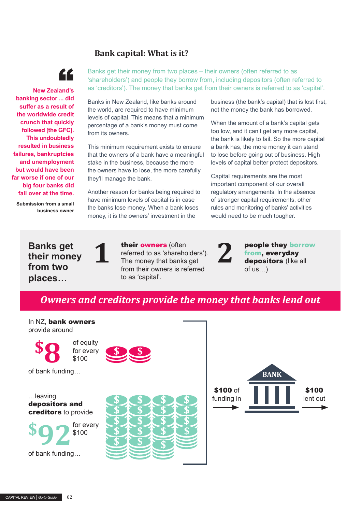## **Bank capital: What is it?**



 **New Zealand's banking sector ... did suffer as a result of the worldwide credit crunch that quickly followed [the GFC]. This undoubtedly resulted in business failures, bankruptcies and unemployment but would have been far worse if one of our big four banks did fall over at the time.**

**Submission from a small business owner**  Banks get their money from two places – their owners (often referred to as 'shareholders') and people they borrow from, including depositors (often referred to as 'creditors'). The money that banks get from their owners is referred to as 'capital'.

Banks in New Zealand, like banks around the world, are required to have minimum levels of capital. This means that a minimum percentage of a bank's money must come from its owners.

This minimum requirement exists to ensure that the owners of a bank have a meaningful stake in the business, because the more the owners have to lose, the more carefully they'll manage the bank.

Another reason for banks being required to have minimum levels of capital is in case the banks lose money. When a bank loses money, it is the owners' investment in the

business (the bank's capital) that is lost first, not the money the bank has borrowed.

When the amount of a bank's capital gets too low, and it can't get any more capital, the bank is likely to fail. So the more capital a bank has, the more money it can stand to lose before going out of business. High levels of capital better protect depositors.

Capital requirements are the most important component of our overall regulatory arrangements. In the absence of stronger capital requirements, other rules and monitoring of banks' activities would need to be much tougher.

**Banks get their money from two places…**



their owners (often referred to as 'shareholders'). The money that banks get from their owners is referred to as 'capital'. **1 their owners** (often<br>referred to as 'shareholders').<br>The money that banks get<br>from, everyday<br>from their owners is referred

people they borrow from, everyday of us…)

## *Owners and creditors provide the money that banks lend out*

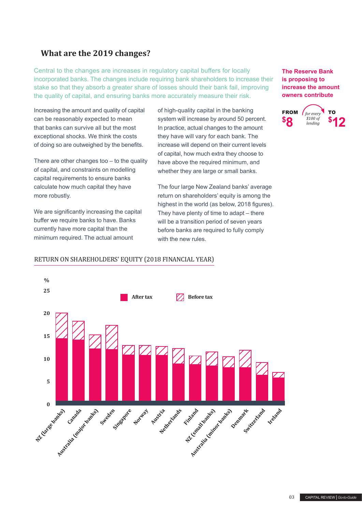## **What are the 2019 changes?**

Central to the changes are increases in regulatory capital buffers for locally incorporated banks. The changes include requiring bank shareholders to increase their stake so that they absorb a greater share of losses should their bank fail, improving the quality of capital, and ensuring banks more accurately measure their risk.

Increasing the amount and quality of capital can be reasonably expected to mean that banks can survive all but the most exceptional shocks. We think the costs of doing so are outweighed by the benefits.

There are other changes too – to the quality of capital, and constraints on modelling capital requirements to ensure banks calculate how much capital they have more robustly.

We are significantly increasing the capital buffer we require banks to have. Banks currently have more capital than the minimum required. The actual amount

of high-quality capital in the banking system will increase by around 50 percent. In practice, actual changes to the amount they have will vary for each bank. The increase will depend on their current levels of capital, how much extra they choose to have above the required minimum, and whether they are large or small banks.

The four large New Zealand banks' average return on shareholders' equity is among the highest in the world (as below, 2018 figures). They have plenty of time to adapt – there will be a transition period of seven years before banks are required to fully comply with the new rules.

**The Reserve Bank is proposing to increase the amount owners contribute**





#### RETURN ON SHAREHOLDERS' EQUITY (2018 FINANCIAL YEAR)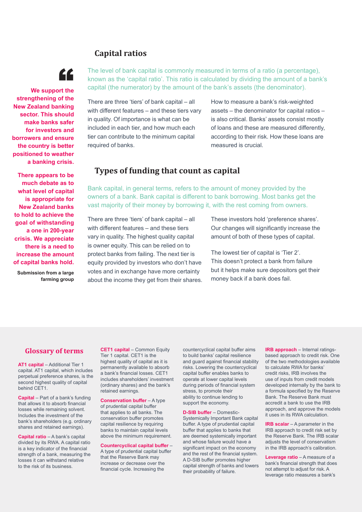### **Capital ratios**



**We support the strengthening of the New Zealand banking sector. This should make banks safer for investors and borrowers and ensure the country is better positioned to weather a banking crisis.** 

**There appears to be much debate as to what level of capital is appropriate for New Zealand banks to hold to achieve the goal of withstanding a one in 200-year crisis. We appreciate there is a need to increase the amount of capital banks hold.**

**Submission from a large farming group** The level of bank capital is commonly measured in terms of a ratio (a percentage), known as the 'capital ratio'. This ratio is calculated by dividing the amount of a bank's capital (the numerator) by the amount of the bank's assets (the denominator).

There are three 'tiers' of bank capital – all with different features – and these tiers vary in quality. Of importance is what can be included in each tier, and how much each tier can contribute to the minimum capital required of banks.

How to measure a bank's risk-weighted assets – the denominator for capital ratios – is also critical. Banks' assets consist mostly of loans and these are measured differently, according to their risk. How these loans are measured is crucial.

#### **Types of funding that count as capital**

Bank capital, in general terms, refers to the amount of money provided by the owners of a bank. Bank capital is different to bank borrowing. Most banks get the vast majority of their money by borrowing it, with the rest coming from owners.

There are three 'tiers' of bank capital – all with different features – and these tiers vary in quality. The highest quality capital is owner equity. This can be relied on to protect banks from failing. The next tier is equity provided by investors who don't have votes and in exchange have more certainty about the income they get from their shares. These investors hold 'preference shares'. Our changes will significantly increase the amount of both of these types of capital.

The lowest tier of capital is 'Tier 2'. This doesn't protect a bank from failure but it helps make sure depositors get their money back if a bank does fail.

#### **Glossary of terms**

**AT1 capital** – Additional Tier 1 capital. AT1 capital, which includes perpetual preference shares, is the second highest quality of capital behind CET1.

**Capital** – Part of a bank's funding that allows it to absorb financial losses while remaining solvent. Includes the investment of the bank's shareholders (e.g. ordinary shares and retained earnings).

**Capital ratio** – A bank's capital divided by its RWA. A capital ratio is a key indicator of the financial strength of a bank, measuring the losses it can withstand relative to the risk of its business.

**CET1 capital** – Common Equity Tier 1 capital. CET1 is the highest quality of capital as it is permanently available to absorb a bank's financial losses. CET1 includes shareholders' investment (ordinary shares) and the bank's retained earnings.

**Conservation buffer** – A type of prudential capital buffer that applies to all banks. The conservation buffer promotes capital resilience by requiring banks to maintain capital levels above the minimum requirement.

**Countercyclical capital buffer** – A type of prudential capital buffer that the Reserve Bank may increase or decrease over the financial cycle. Increasing the

countercyclical capital buffer aims to build banks' capital resilience and guard against financial stability risks. Lowering the countercyclical capital buffer enables banks to operate at lower capital levels during periods of financial system stress, to promote their ability to continue lending to support the economy.

**D-SIB buffer** – Domestic-Systemically Important Bank capital buffer. A type of prudential capital buffer that applies to banks that are deemed systemically important and whose failure would have a significant impact on the economy and the rest of the financial system. A D-SIB buffer promotes higher capital strength of banks and lowers their probability of failure.

**IRB approach** – Internal ratingsbased approach to credit risk. One of the two methodologies available to calculate RWA for banks' credit risks, IRB involves the use of inputs from credit models developed internally by the bank to a formula specified by the Reserve Bank. The Reserve Bank must accredit a bank to use the IRB approach, and approve the models it uses in its RWA calculation.

**IRB scalar** – A parameter in the IRB approach to credit risk set by the Reserve Bank. The IRB scalar adjusts the level of conservatism in the IRB approach's calibration.

**Leverage ratio** – A measure of a bank's financial strength that does not attempt to adjust for risk. A leverage ratio measures a bank's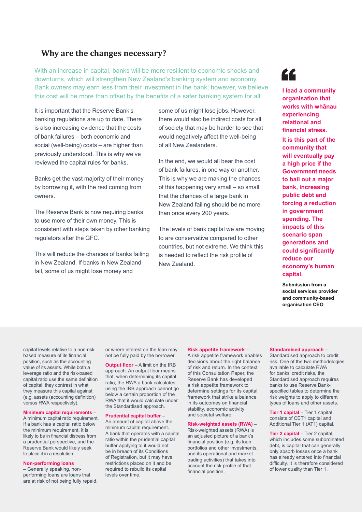#### **Why are the changes necessary?**

With an increase in capital, banks will be more resilient to economic shocks and downturns, which will strengthen New Zealand's banking system and economy. Bank owners may earn less from their investment in the bank; however, we believe this cost will be more than offset by the benefits of a safer banking system for all.

It is important that the Reserve Bank's banking regulations are up to date. There is also increasing evidence that the costs of bank failures – both economic and social (well-being) costs – are higher than previously understood. This is why we've reviewed the capital rules for banks.

Banks get the vast majority of their money by borrowing it, with the rest coming from owners.

The Reserve Bank is now requiring banks to use more of their own money. This is consistent with steps taken by other banking regulators after the GFC.

This will reduce the chances of banks failing in New Zealand. If banks in New Zealand fail, some of us might lose money and

some of us might lose jobs. However, there would also be indirect costs for all of society that may be harder to see that would negatively affect the well-being of all New Zealanders.

In the end, we would all bear the cost of bank failures, in one way or another. This is why we are making the chances of this happening very small – so small that the chances of a large bank in New Zealand failing should be no more than once every 200 years.

The levels of bank capital we are moving to are conservative compared to other countries, but not extreme. We think this is needed to reflect the risk profile of New Zealand.



**I lead a community organisation that works with whānau experiencing relational and financial stress.** 

**It is this part of the community that will eventually pay a high price if the Government needs to bail out a major bank, increasing public debt and forcing a reduction in government spending. The impacts of this scenario span generations and could significantly reduce our economy's human capital.**

**Submission from a social services provider and community-based organisation CEO**

capital levels relative to a non-risk based measure of its financial position, such as the accounting value of its assets. While both a leverage ratio and the risk-based capital ratio use the same definition of capital, they contrast in what they measure this capital against (e.g. assets (accounting definition) versus RWA respectively).

**Minimum capital requirements** –

A minimum capital ratio requirement. If a bank has a capital ratio below the minimum requirement, it is likely to be in financial distress from a prudential perspective, and the Reserve Bank would likely seek to place it in a resolution.

#### **Non-performing loans**

– Generally speaking, nonperforming loans are loans that are at risk of not being fully repaid, or where interest on the loan may not be fully paid by the borrower.

**Output floor** – A limit on the IRB approach. An output floor means that, when determining its capital ratio, the RWA a bank calculates using the IRB approach cannot go below a certain proportion of the RWA that it would calculate under the Standardised approach.

#### **Prudential capital buffer** –

An amount of capital above the minimum capital requirement. A bank that operates with a capital ratio within the prudential capital buffer applying to it would not be in breach of its Conditions of Registration, but it may have restrictions placed on it and be required to rebuild its capital levels over time.

#### **Risk appetite framework** –

A risk appetite framework enables decisions about the right balance of risk and return. In the context of this Consultation Paper, the Reserve Bank has developed a risk appetite framework to determine settings for its capital framework that strike a balance in its outcomes on financial stability, economic activity and societal welfare.

#### **Risk-weighted assets (RWA)** – Risk-weighted assets (RWA) is

an adjusted picture of a bank's financial position (e.g. its loan portfolios and other investments, and its operational and market trading activities) that takes into account the risk profile of that financial position.

**Standardised approach** –

Standardised approach to credit risk. One of the two methodologies available to calculate RWA for banks' credit risks, the Standardised approach requires banks to use Reserve Bankspecified tables to determine the risk weights to apply to different types of loans and other assets.

**Tier 1 capital - Tier 1 capital** consists of CET1 capital and Additional Tier 1 (AT1) capital.

**Tier 2 capital** – Tier 2 capital, which includes some subordinated debt, is capital that can generally only absorb losses once a bank has already entered into financial difficulty. It is therefore considered of lower quality than Tier 1.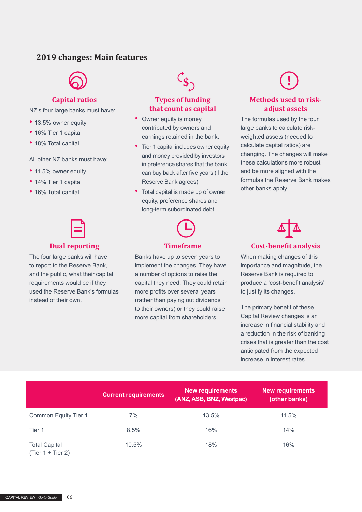#### **2019 changes: Main features**



#### **Capital ratios**

NZ's four large banks must have:

- 13.5% owner equity
- 16% Tier 1 capital
- 18% Total capital

#### All other NZ banks must have:

- 11.5% owner equity
- 14% Tier 1 capital
- 16% Total capital



#### **Dual reporting**

The four large banks will have to report to the Reserve Bank, and the public, what their capital requirements would be if they used the Reserve Bank's formulas instead of their own.

#### **Types of funding that count as capital**

- Owner equity is money contributed by owners and earnings retained in the bank.
- Tier 1 capital includes owner equity and money provided by investors in preference shares that the bank can buy back after five years (if the Reserve Bank agrees).
- Total capital is made up of owner equity, preference shares and long-term subordinated debt.

## **Timeframe**

Banks have up to seven years to implement the changes. They have a number of options to raise the capital they need. They could retain more profits over several years (rather than paying out dividends to their owners) or they could raise more capital from shareholders.

#### **Methods used to riskadjust assets**

The formulas used by the four large banks to calculate riskweighted assets (needed to calculate capital ratios) are changing. The changes will make these calculations more robust and be more aligned with the formulas the Reserve Bank makes other banks apply.



When making changes of this importance and magnitude, the Reserve Bank is required to produce a 'cost-benefit analysis' to justify its changes.

The primary benefit of these Capital Review changes is an increase in financial stability and a reduction in the risk of banking crises that is greater than the cost anticipated from the expected increase in interest rates.

|                                             | <b>Current requirements</b> | <b>New requirements</b><br>(ANZ, ASB, BNZ, Westpac) | <b>New requirements</b><br>(other banks) |
|---------------------------------------------|-----------------------------|-----------------------------------------------------|------------------------------------------|
| Common Equity Tier 1                        | 7%                          | 13.5%                                               | 11.5%                                    |
| Tier 1                                      | 8.5%                        | 16%                                                 | 14%                                      |
| <b>Total Capital</b><br>$(Tier 1 + Tier 2)$ | 10.5%                       | 18%                                                 | 16%                                      |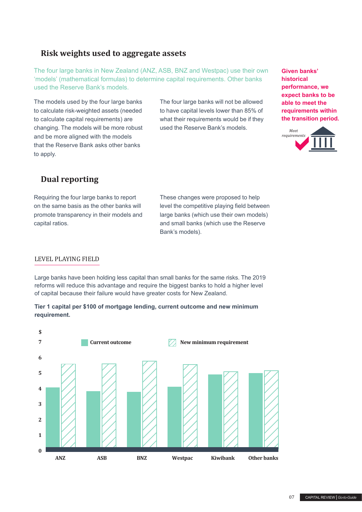#### **Risk weights used to aggregate assets**

The four large banks in New Zealand (ANZ, ASB, BNZ and Westpac) use their own 'models' (mathematical formulas) to determine capital requirements. Other banks used the Reserve Bank's models.

The models used by the four large banks to calculate risk-weighted assets (needed to calculate capital requirements) are changing. The models will be more robust and be more aligned with the models that the Reserve Bank asks other banks to apply.

The four large banks will not be allowed to have capital levels lower than 85% of what their requirements would be if they used the Reserve Bank's models.

**Given banks' historical performance, we expect banks to be able to meet the requirements within the transition period.**



### **Dual reporting**

Requiring the four large banks to report on the same basis as the other banks will promote transparency in their models and capital ratios.

These changes were proposed to help level the competitive playing field between large banks (which use their own models) and small banks (which use the Reserve Bank's models).

#### LEVEL PLAYING FIELD

Large banks have been holding less capital than small banks for the same risks. The 2019 reforms will reduce this advantage and require the biggest banks to hold a higher level of capital because their failure would have greater costs for New Zealand.

#### **Tier 1 capital per \$100 of mortgage lending, current outcome and new minimum requirement.**

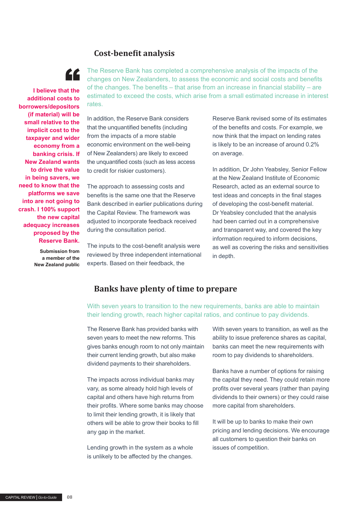#### **Cost-benefit analysis**



**I** believe that the **additional costs to borrowers/depositors (if material) will be small relative to the implicit cost to the taxpayer and wider economy from a banking crisis. If New Zealand wants to drive the value in being savers, we need to know that the platforms we save into are not going to crash. I 100% support the new capital adequacy increases proposed by the Reserve Bank.**

> **Submission from a member of the New Zealand public**

The Reserve Bank has completed a comprehensive analysis of the impacts of the changes on New Zealanders, to assess the economic and social costs and benefits of the changes. The benefits – that arise from an increase in financial stability – are estimated to exceed the costs, which arise from a small estimated increase in interest rates.

In addition, the Reserve Bank considers that the unquantified benefits (including from the impacts of a more stable economic environment on the well-being of New Zealanders) are likely to exceed the unquantified costs (such as less access to credit for riskier customers).

The approach to assessing costs and benefits is the same one that the Reserve Bank described in earlier publications during the Capital Review. The framework was adjusted to incorporate feedback received during the consultation period.

The inputs to the cost-benefit analysis were reviewed by three independent international experts. Based on their feedback, the

Reserve Bank revised some of its estimates of the benefits and costs. For example, we now think that the impact on lending rates is likely to be an increase of around 0.2% on average.

In addition, Dr John Yeabsley, Senior Fellow at the New Zealand Institute of Economic Research, acted as an external source to test ideas and concepts in the final stages of developing the cost-benefit material. Dr Yeabsley concluded that the analysis had been carried out in a comprehensive and transparent way, and covered the key information required to inform decisions, as well as covering the risks and sensitivities in depth.

#### **Banks have plenty of time to prepare**

With seven years to transition to the new requirements, banks are able to maintain their lending growth, reach higher capital ratios, and continue to pay dividends.

The Reserve Bank has provided banks with seven years to meet the new reforms. This gives banks enough room to not only maintain their current lending growth, but also make dividend payments to their shareholders.

The impacts across individual banks may vary, as some already hold high levels of capital and others have high returns from their profits. Where some banks may choose to limit their lending growth, it is likely that others will be able to grow their books to fill any gap in the market.

Lending growth in the system as a whole is unlikely to be affected by the changes.

With seven years to transition, as well as the ability to issue preference shares as capital, banks can meet the new requirements with room to pay dividends to shareholders.

Banks have a number of options for raising the capital they need. They could retain more profits over several years (rather than paying dividends to their owners) or they could raise more capital from shareholders.

It will be up to banks to make their own pricing and lending decisions. We encourage all customers to question their banks on issues of competition.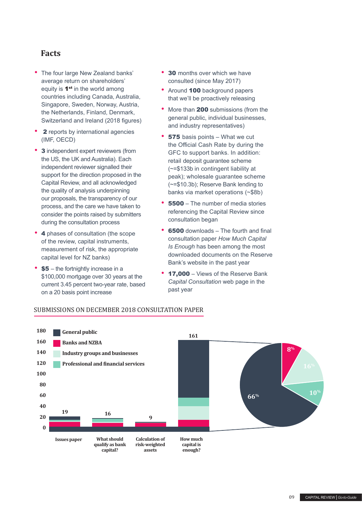#### **Facts**

- The four large New Zealand banks' average return on shareholders' equity is 1<sup>st</sup> in the world among countries including Canada, Australia, Singapore, Sweden, Norway, Austria, the Netherlands, Finland, Denmark, Switzerland and Ireland (2018 figures)
- **2** reports by international agencies (IMF, OECD)
- 3 independent expert reviewers (from the US, the UK and Australia). Each independent reviewer signalled their support for the direction proposed in the Capital Review, and all acknowledged the quality of analysis underpinning our proposals, the transparency of our process, and the care we have taken to consider the points raised by submitters during the consultation process
- 4 phases of consultation (the scope of the review, capital instruments, measurement of risk, the appropriate capital level for NZ banks)
- $$5$  the fortnightly increase in a \$100,000 mortgage over 30 years at the current 3.45 percent two-year rate, based on a 20 basis point increase
- 30 months over which we have consulted (since May 2017)
- Around 100 background papers that we'll be proactively releasing
- More than **200** submissions (from the general public, individual businesses, and industry representatives)
- **575** basis points What we cut the Official Cash Rate by during the GFC to support banks. In addition: retail deposit guarantee scheme (~=\$133b in contingent liability at peak); wholesale guarantee scheme (~=\$10.3b); Reserve Bank lending to banks via market operations (~\$8b)
- <sup>5500</sup> The number of media stories referencing the Capital Review since consultation began
- **6500** downloads The fourth and final consultation paper *How Much Capital Is Enough* has been among the most downloaded documents on the Reserve Bank's website in the past year
- 17,000 Views of the Reserve Bank *Capital Consultation* web page in the past year



#### SUBMISSIONS ON DECEMBER 2018 CONSULTATION PAPER